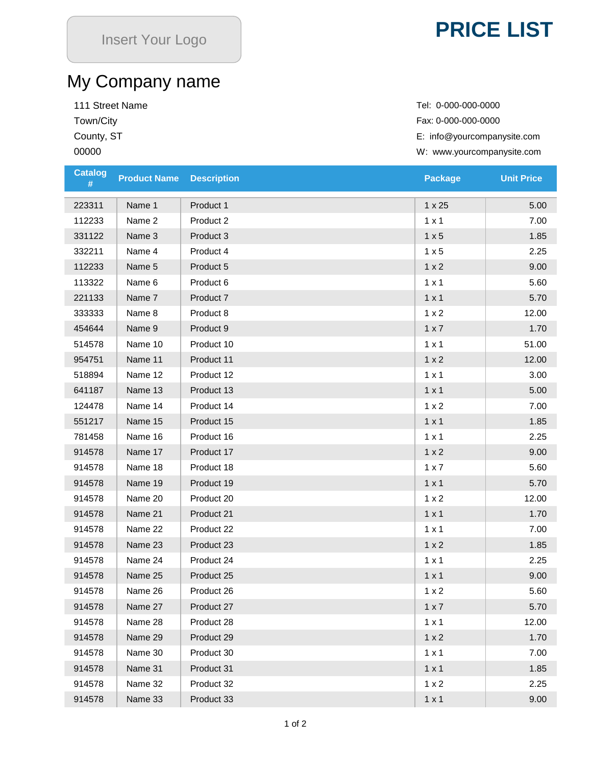## **PRICE LIST**

## My Company name

111 Street Name Tel: 0-000-0000-0000

Town/City Fax: 0-000-000-0000 County, ST County, ST County, ST County, ST E: info@yourcompanysite.com W: www.yourcompanysite.com

| <b>Catalog</b><br># | <b>Product Name</b> | <b>Description</b> | <b>Package</b> | <b>Unit Price</b> |
|---------------------|---------------------|--------------------|----------------|-------------------|
| 223311              | Name 1              | Product 1          | $1 \times 25$  | 5.00              |
| 112233              | Name 2              | Product 2          | $1 \times 1$   | 7.00              |
| 331122              | Name 3              | Product 3          | 1 x 5          | 1.85              |
| 332211              | Name 4              | Product 4          | 1 x 5          | 2.25              |
| 112233              | Name 5              | Product 5          | 1 x 2          | 9.00              |
| 113322              | Name 6              | Product 6          | $1 \times 1$   | 5.60              |
| 221133              | Name 7              | Product 7          | $1 \times 1$   | 5.70              |
| 333333              | Name 8              | Product 8          | 1 x 2          | 12.00             |
| 454644              | Name 9              | Product 9          | 1 x 7          | 1.70              |
| 514578              | Name 10             | Product 10         | $1 \times 1$   | 51.00             |
| 954751              | Name 11             | Product 11         | 1 x 2          | 12.00             |
| 518894              | Name 12             | Product 12         | $1 \times 1$   | 3.00              |
| 641187              | Name 13             | Product 13         | $1 \times 1$   | 5.00              |
| 124478              | Name 14             | Product 14         | 1 x 2          | 7.00              |
| 551217              | Name 15             | Product 15         | $1 \times 1$   | 1.85              |
| 781458              | Name 16             | Product 16         | $1 \times 1$   | 2.25              |
| 914578              | Name 17             | Product 17         | 1 x 2          | 9.00              |
| 914578              | Name 18             | Product 18         | 1 x 7          | 5.60              |
| 914578              | Name 19             | Product 19         | $1 \times 1$   | 5.70              |
| 914578              | Name 20             | Product 20         | 1 x 2          | 12.00             |
| 914578              | Name 21             | Product 21         | $1 \times 1$   | 1.70              |
| 914578              | Name 22             | Product 22         | $1 \times 1$   | 7.00              |
| 914578              | Name 23             | Product 23         | 1 x 2          | 1.85              |
| 914578              | Name 24             | Product 24         | $1 \times 1$   | 2.25              |
| 914578              | Name 25             | Product 25         | $1 \times 1$   | 9.00              |
| 914578              | Name 26             | Product 26         | 1 x 2          | 5.60              |
| 914578              | Name 27             | Product 27         | $1 \times 7$   | 5.70              |
| 914578              | Name 28             | Product 28         | $1 \times 1$   | 12.00             |
| 914578              | Name 29             | Product 29         | 1 x 2          | 1.70              |
| 914578              | Name 30             | Product 30         | $1 \times 1$   | 7.00              |
| 914578              | Name 31             | Product 31         | $1 \times 1$   | 1.85              |
| 914578              | Name 32             | Product 32         | 1 x 2          | 2.25              |
| 914578              | Name 33             | Product 33         | $1 \times 1$   | 9.00              |